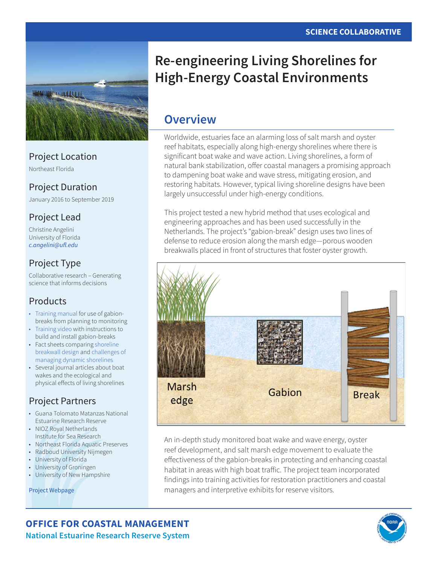

### Project Location

Northeast Florida

### Project Duration

January 2016 to September 2019

### Project Lead

Christine Angelini University of Florida *[c.angelini@ufl.edu](mailto:c.angelini%40ufl.edu?subject=)*

## Project Type

Collaborative research – Generating science that informs decisions

### Products

- [Training manual](http://www.nerrssciencecollaborative.org/resource/manual-re-engineering-living-shorelines-halt-erosion-and-restore-coastal-habitat-high) for use of gabionbreaks from planning to monitoring
- [Training video](http://www.nerrssciencecollaborative.org/resource/living-shorelines-project-video-installing-gabion-breaks-florida-intercoastal-waterway) with instructions to build and install gabion-breaks
- Fact sheets comparing [shoreline](http://www.nerrssciencecollaborative.org/media/resources/Breakwall%20Comparison%20One-Pager_FINAL.pdf)  [breakwall design](http://www.nerrssciencecollaborative.org/media/resources/Breakwall%20Comparison%20One-Pager_FINAL.pdf) and [challenges of](http://www.nerrssciencecollaborative.org/media/files/EE/Workshop_overview_EdgesOfOurEstuaries.pdf)  [managing dynamic shorelines](http://www.nerrssciencecollaborative.org/media/files/EE/Workshop_overview_EdgesOfOurEstuaries.pdf)
- Several journal articles about boat wakes and the ecological and physical effects of living shorelines

## Project Partners

- Guana Tolomato Matanzas National Estuarine Research Reserve
- NIOZ Royal Netherlands Institute for Sea Research
- Northeast Florida Aquatic Preserves
- Radboud University Nijmegen
- University of Florida
- University of Groningen
- University of New Hampshire

[Project Webpage](http://www.nerrssciencecollaborative.org/project/Angelini15)

# **Re-engineering Living Shorelines for High-Energy Coastal Environments**

# **Overview**

Worldwide, estuaries face an alarming loss of salt marsh and oyster reef habitats, especially along high-energy shorelines where there is significant boat wake and wave action. Living shorelines, a form of natural bank stabilization, offer coastal managers a promising approach to dampening boat wake and wave stress, mitigating erosion, and restoring habitats. However, typical living shoreline designs have been largely unsuccessful under high-energy conditions.

This project tested a new hybrid method that uses ecological and engineering approaches and has been used successfully in the Netherlands. The project's "gabion-break" design uses two lines of defense to reduce erosion along the marsh edge—porous wooden breakwalls placed in front of structures that foster oyster growth.



An in-depth study monitored boat wake and wave energy, oyster reef development, and salt marsh edge movement to evaluate the effectiveness of the gabion-breaks in protecting and enhancing coastal habitat in areas with high boat traffic. The project team incorporated findings into training activities for restoration practitioners and coastal managers and interpretive exhibits for reserve visitors.

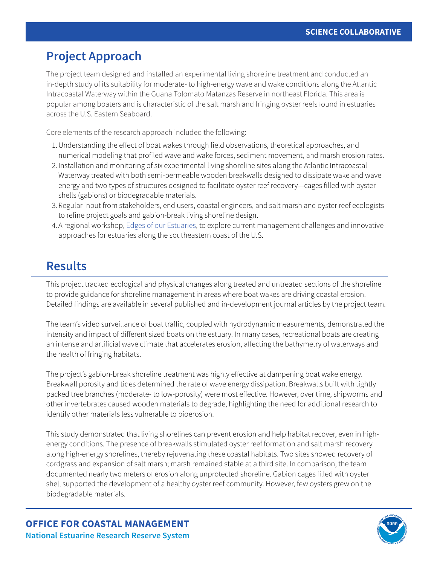## **Project Approach**

The project team designed and installed an experimental living shoreline treatment and conducted an in-depth study of its suitability for moderate- to high-energy wave and wake conditions along the Atlantic Intracoastal Waterway within the Guana Tolomato Matanzas Reserve in northeast Florida. This area is popular among boaters and is characteristic of the salt marsh and fringing oyster reefs found in estuaries across the U.S. Eastern Seaboard.

Core elements of the research approach included the following:

- 1.Understanding the effect of boat wakes through field observations, theoretical approaches, and numerical modeling that profiled wave and wake forces, sediment movement, and marsh erosion rates.
- 2. Installation and monitoring of six experimental living shoreline sites along the Atlantic Intracoastal Waterway treated with both semi-permeable wooden breakwalls designed to dissipate wake and wave energy and two types of structures designed to facilitate oyster reef recovery—cages filled with oyster shells (gabions) or biodegradable materials.
- 3.Regular input from stakeholders, end users, coastal engineers, and salt marsh and oyster reef ecologists to refine project goals and gabion-break living shoreline design.
- 4.A regional workshop, [Edges of our Estuaries,](http://www.nerrssciencecollaborative.org/projects/Angelini15/ee) to explore current management challenges and innovative approaches for estuaries along the southeastern coast of the U.S.

## **Results**

This project tracked ecological and physical changes along treated and untreated sections of the shoreline to provide guidance for shoreline management in areas where boat wakes are driving coastal erosion. Detailed findings are available in several published and in-development journal articles by the project team.

The team's video surveillance of boat traffic, coupled with hydrodynamic measurements, demonstrated the intensity and impact of different sized boats on the estuary. In many cases, recreational boats are creating an intense and artificial wave climate that accelerates erosion, affecting the bathymetry of waterways and the health of fringing habitats.

The project's gabion-break shoreline treatment was highly effective at dampening boat wake energy. Breakwall porosity and tides determined the rate of wave energy dissipation. Breakwalls built with tightly packed tree branches (moderate- to low-porosity) were most effective. However, over time, shipworms and other invertebrates caused wooden materials to degrade, highlighting the need for additional research to identify other materials less vulnerable to bioerosion.

This study demonstrated that living shorelines can prevent erosion and help habitat recover, even in highenergy conditions. The presence of breakwalls stimulated oyster reef formation and salt marsh recovery along high-energy shorelines, thereby rejuvenating these coastal habitats. Two sites showed recovery of cordgrass and expansion of salt marsh; marsh remained stable at a third site. In comparison, the team documented nearly two meters of erosion along unprotected shoreline. Gabion cages filled with oyster shell supported the development of a healthy oyster reef community. However, few oysters grew on the biodegradable materials.